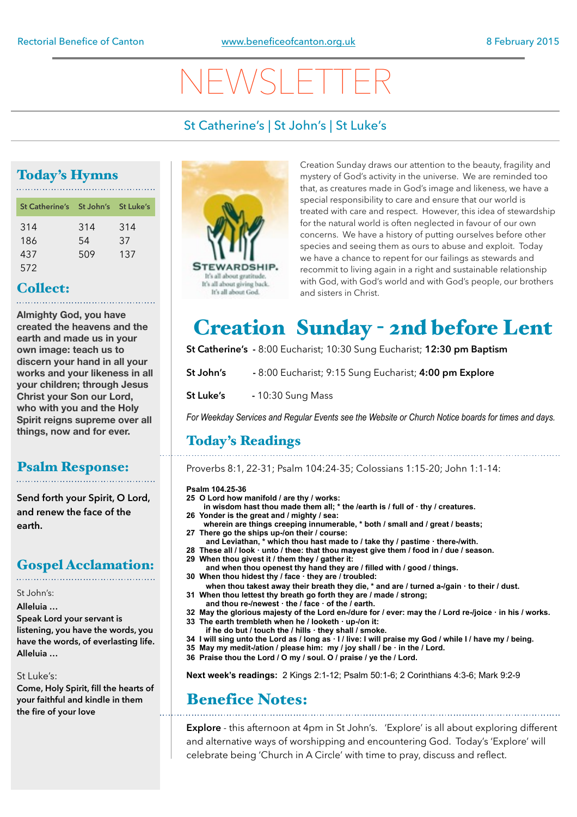# NEWSLETTER

### St Catherine's | St John's | St Luke's

### Today's Hymns

| St Catherine's St John's St Luke's |     |     |
|------------------------------------|-----|-----|
| 314                                | 314 | 314 |
| 186                                | 54  | 37  |
| 437                                | 509 | 137 |
| 572                                |     |     |

#### Collect:

**Almighty God, you have created the heavens and the earth and made us in your own image: teach us to discern your hand in all your works and your likeness in all your children; through Jesus Christ your Son our Lord, who with you and the Holy Spirit reigns supreme over all things, now and for ever.** 

#### Psalm Response:

**Send forth your Spirit, O Lord, and renew the face of the earth.**

### Gospel Acclamation:

St John's:

**Alleluia …** 

**Speak Lord your servant is listening, you have the words, you have the words, of everlasting life. Alleluia …**

#### St Luke's:

**Come, Holy Spirit, fill the hearts of your faithful and kindle in them the fire of your love**



Creation Sunday draws our attention to the beauty, fragility and mystery of God's activity in the universe. We are reminded too that, as creatures made in God's image and likeness, we have a special responsibility to care and ensure that our world is treated with care and respect. However, this idea of stewardship for the natural world is often neglected in favour of our own concerns. We have a history of putting ourselves before other species and seeing them as ours to abuse and exploit. Today we have a chance to repent for our failings as stewards and recommit to living again in a right and sustainable relationship with God, with God's world and with God's people, our brothers and sisters in Christ.

## **Creation Sunday - 2nd before Lent**

**St Catherine's -** 8:00 Eucharist; 10:30 Sung Eucharist; **12:30 pm Baptism**

**St John's -** 8:00 Eucharist; 9:15 Sung Eucharist; **4:00 pm Explore** 

**St Luke's -** 10:30 Sung Mass

*For Weekday Services and Regular Events see the Website or Church Notice boards for times and days.*

### Today's Readings

Proverbs 8:1, 22-31; Psalm 104:24-35; Colossians 1:15-20; John 1:1-14:

#### **Psalm 104.25-36**

- **25 O Lord how manifold / are thy / works:**
	- **in wisdom hast thou made them all; \* the /earth is / full of · thy / creatures.**
- **26 Yonder is the great and / mighty / sea:**
- **wherein are things creeping innumerable, \* both / small and / great / beasts; 27 There go the ships up-/on their / course:**
	- **and Leviathan, \* which thou hast made to / take thy / pastime · there-/with.**
- **28 These all / look · unto / thee: that thou mayest give them / food in / due / season.**
- **29 When thou givest it / them they / gather it: and when thou openest thy hand they are / filled with / good / things. 30 When thou hidest thy / face · they are / troubled:**
- **when thou takest away their breath they die, \* and are / turned a-/gain · to their / dust. 31 When thou lettest thy breath go forth they are / made / strong;**
- **and thou re-/newest · the / face · of the / earth.**
- **32 May the glorious majesty of the Lord en-/dure for / ever: may the / Lord re-/joice · in his / works. 33 The earth trembleth when he / looketh · up-/on it:**
- **if he do but / touch the / hills · they shall / smoke.**
- **34 I will sing unto the Lord as / long as · I / live: I will praise my God / while I / have my / being.**
- **35 May my medit-/ation / please him: my / joy shall / be · in the / Lord.**
- **36 Praise thou the Lord / O my / soul. O / praise / ye the / Lord.**

**Next week's readings:** 2 Kings 2:1-12; Psalm 50:1-6; 2 Corinthians 4:3-6; Mark 9:2-9

## Benefice Notes:

**Explore** - this afternoon at 4pm in St John's. 'Explore' is all about exploring different and alternative ways of worshipping and encountering God. Today's 'Explore' will celebrate being 'Church in A Circle' with time to pray, discuss and reflect.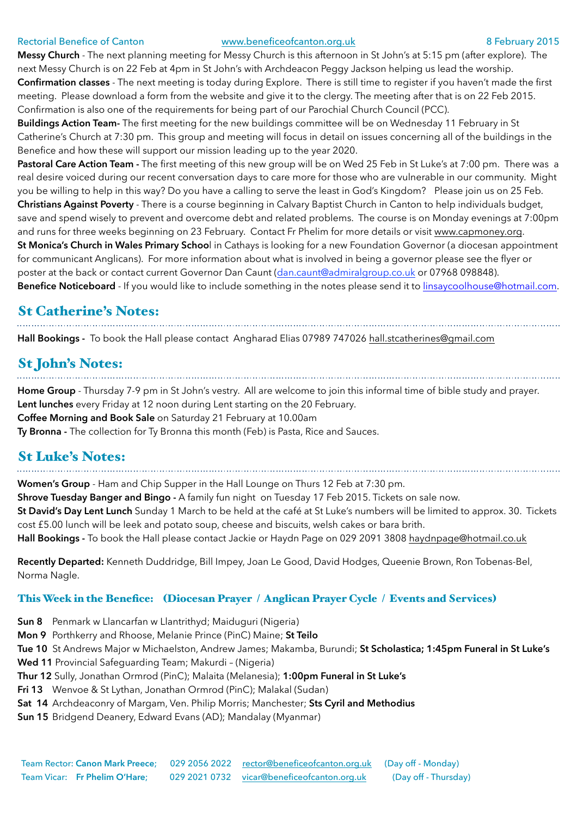#### Rectorial Benefice of Canton **[www.beneficeofcanton.org.uk](http://www.beneficeofcanton.org.uk)** 8 February 2015

**Messy Church** - The next planning meeting for Messy Church is this afternoon in St John's at 5:15 pm (after explore). The next Messy Church is on 22 Feb at 4pm in St John's with Archdeacon Peggy Jackson helping us lead the worship. **Confirmation classes** - The next meeting is today during Explore. There is still time to register if you haven't made the first meeting. Please download a form from the website and give it to the clergy. The meeting after that is on 22 Feb 2015. Confirmation is also one of the requirements for being part of our Parochial Church Council (PCC).

**Buildings Action Team-** The first meeting for the new buildings committee will be on Wednesday 11 February in St Catherine's Church at 7:30 pm. This group and meeting will focus in detail on issues concerning all of the buildings in the Benefice and how these will support our mission leading up to the year 2020.

**Pastoral Care Action Team -** The first meeting of this new group will be on Wed 25 Feb in St Luke's at 7:00 pm. There was a real desire voiced during our recent conversation days to care more for those who are vulnerable in our community. Might you be willing to help in this way? Do you have a calling to serve the least in God's Kingdom? Please join us on 25 Feb. **Christians Against Poverty** - There is a course beginning in Calvary Baptist Church in Canton to help individuals budget, save and spend wisely to prevent and overcome debt and related problems. The course is on Monday evenings at 7:00pm and runs for three weeks beginning on 23 February. Contact Fr Phelim for more details or visit [www.capmoney.org.](http://www.capmoney.org) **St Monica's Church in Wales Primary Schoo**l in Cathays is looking for a new Foundation Governor (a diocesan appointment

for communicant Anglicans). For more information about what is involved in being a governor please see the flyer or poster at the back or contact current Governor Dan Caunt ([dan.caunt@admiralgroup.co.uk](mailto:dan.caunt@admiralgroup.co.uk) or 07968 098848).

**Benefice Noticeboard** - If you would like to include something in the notes please send it to [linsaycoolhouse@hotmail.com](mailto:linsaycoolhouse@hotmail.com).

### St Catherine's Notes:

**Hall Bookings -** To book the Hall please contact Angharad Elias 07989 747026 [hall.stcatherines@gmail.com](mailto:hall.stcatherines@gmail.com)

## St John's Notes:

**Home Group** - Thursday 7-9 pm in St John's vestry. All are welcome to join this informal time of bible study and prayer. **Lent lunches** every Friday at 12 noon during Lent starting on the 20 February. **Coffee Morning and Book Sale** on Saturday 21 February at 10.00am **Ty Bronna -** The collection for Ty Bronna this month (Feb) is Pasta, Rice and Sauces.

#### St Luke's Notes:

**Women's Group** - Ham and Chip Supper in the Hall Lounge on Thurs 12 Feb at 7:30 pm. **Shrove Tuesday Banger and Bingo -** A family fun night on Tuesday 17 Feb 2015. Tickets on sale now. **St David's Day Lent Lunch** Sunday 1 March to be held at the café at St Luke's numbers will be limited to approx. 30. Tickets cost £5.00 lunch will be leek and potato soup, cheese and biscuits, welsh cakes or bara brith. **Hall Bookings -** To book the Hall please contact Jackie or Haydn Page on 029 2091 3808 [haydnpage@hotmail.co.uk](mailto:haydnpage@hotmail.co.uk)

**Recently Departed:** Kenneth Duddridge, Bill Impey, Joan Le Good, David Hodges, Queenie Brown, Ron Tobenas-Bel, Norma Nagle.

#### This Week in the Benefice: (Diocesan Prayer / Anglican Prayer Cycle / Events and Services)

**Sun 8** Penmark w Llancarfan w Llantrithyd; Maiduguri (Nigeria)

- **Mon 9** Porthkerry and Rhoose, Melanie Prince (PinC) Maine; **St Teilo**
- **Tue 10** St Andrews Major w Michaelston, Andrew James; Makamba, Burundi; **St Scholastica; 1:45pm Funeral in St Luke's**

**Wed 11** Provincial Safeguarding Team; Makurdi – (Nigeria)

**Thur 12** Sully, Jonathan Ormrod (PinC); Malaita (Melanesia); **1:00pm Funeral in St Luke's**

- **Fri 13** Wenvoe & St Lythan, Jonathan Ormrod (PinC); Malakal (Sudan)
- **Sat 14** Archdeaconry of Margam, Ven. Philip Morris; Manchester; **Sts Cyril and Methodius**
- **Sun 15** Bridgend Deanery, Edward Evans (AD); Mandalay (Myanmar)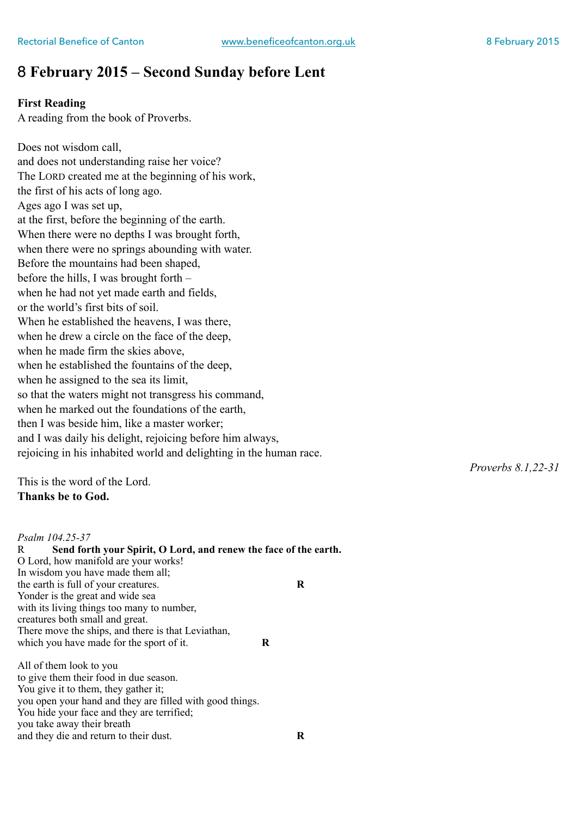### 8 **February 2015 – Second Sunday before Lent**

#### **First Reading**

A reading from the book of Proverbs.

Does not wisdom call, and does not understanding raise her voice? The LORD created me at the beginning of his work, the first of his acts of long ago. Ages ago I was set up, at the first, before the beginning of the earth. When there were no depths I was brought forth, when there were no springs abounding with water. Before the mountains had been shaped, before the hills, I was brought forth – when he had not yet made earth and fields, or the world's first bits of soil. When he established the heavens, I was there, when he drew a circle on the face of the deep, when he made firm the skies above, when he established the fountains of the deep, when he assigned to the sea its limit, so that the waters might not transgress his command, when he marked out the foundations of the earth, then I was beside him, like a master worker; and I was daily his delight, rejoicing before him always, rejoicing in his inhabited world and delighting in the human race.

This is the word of the Lord. **Thanks be to God.** 

#### *Psalm 104.25-37*  R **Send forth your Spirit, O Lord, and renew the face of the earth.**  O Lord, how manifold are your works! In wisdom you have made them all; the earth is full of your creatures. **R**  Yonder is the great and wide sea with its living things too many to number, creatures both small and great. There move the ships, and there is that Leviathan, which you have made for the sport of it. **R**

All of them look to you to give them their food in due season. You give it to them, they gather it; you open your hand and they are filled with good things. You hide your face and they are terrified; you take away their breath and they die and return to their dust. **R**  *Proverbs 8.1,22-31*